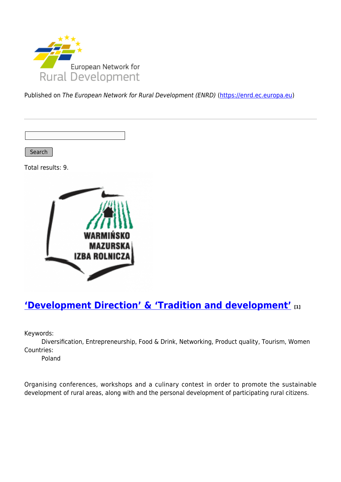

Published on The European Network for Rural Development (ENRD) [\(https://enrd.ec.europa.eu](https://enrd.ec.europa.eu))

Search

Total results: 9.



## **['Development Direction' & 'Tradition and development'](https://enrd.ec.europa.eu/projects-practice/development-direction-tradition-and-development_en) [1]**

Keywords:

Diversification, Entrepreneurship, Food & Drink, Networking, Product quality, Tourism, Women Countries:

Poland

Organising conferences, workshops and a culinary contest in order to promote the sustainable development of rural areas, along with and the personal development of participating rural citizens.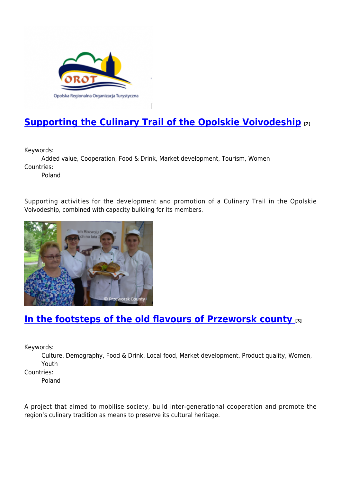

# **[Supporting the Culinary Trail of the Opolskie Voivodeship](https://enrd.ec.europa.eu/projects-practice/supporting-culinary-trail-opolskie-voivodeship_en) [2]**

Keywords:

Added value, Cooperation, Food & Drink, Market development, Tourism, Women Countries:

Poland

Supporting activities for the development and promotion of a Culinary Trail in the Opolskie Voivodeship, combined with capacity building for its members.



## **[In the footsteps of the old flavours of Przeworsk county](https://enrd.ec.europa.eu/projects-practice/footsteps-old-flavours-przeworsk-county_en) [3]**

Keywords:

Culture, Demography, Food & Drink, Local food, Market development, Product quality, Women, Youth

Countries:

Poland

A project that aimed to mobilise society, build inter-generational cooperation and promote the region's culinary tradition as means to preserve its cultural heritage.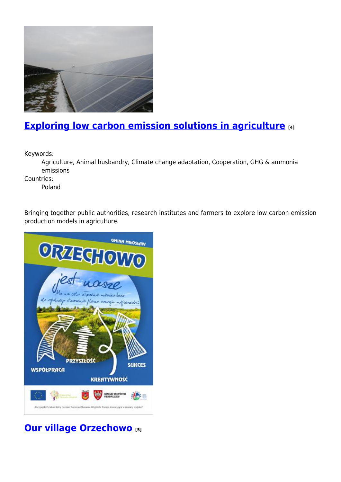

# **[Exploring low carbon emission solutions in agriculture](https://enrd.ec.europa.eu/projects-practice/exploring-low-carbon-emission-solutions-agriculture_en) [4]**

Keywords:

Agriculture, Animal husbandry, Climate change adaptation, Cooperation, GHG & ammonia emissions

Countries:

Poland

Bringing together public authorities, research institutes and farmers to explore low carbon emission production models in agriculture.



**[Our village Orzechowo](https://enrd.ec.europa.eu/projects-practice/our-village-orzechowo_en) [5]**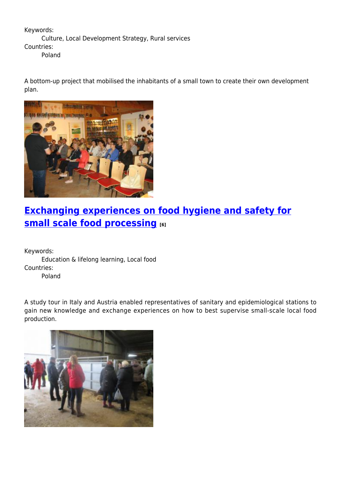Keywords: Culture, Local Development Strategy, Rural services Countries: Poland

A bottom-up project that mobilised the inhabitants of a small town to create their own development plan.



# **[Exchanging experiences on food hygiene and safety for](https://enrd.ec.europa.eu/projects-practice/exchanging-experiences-food-hygiene-and-safety-small-scale-food-processing_en) [small scale food processing](https://enrd.ec.europa.eu/projects-practice/exchanging-experiences-food-hygiene-and-safety-small-scale-food-processing_en) [6]**

Keywords: Education & lifelong learning, Local food Countries: Poland

A study tour in Italy and Austria enabled representatives of sanitary and epidemiological stations to gain new knowledge and exchange experiences on how to best supervise small-scale local food production.

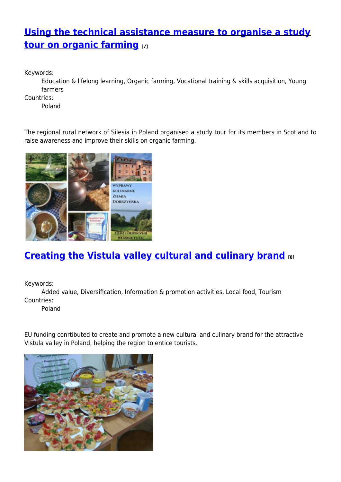## **[Using the technical assistance measure to organise a study](https://enrd.ec.europa.eu/projects-practice/using-technical-assistance-measure-organise-study-tour-organic-farming_en) [tour on organic farming](https://enrd.ec.europa.eu/projects-practice/using-technical-assistance-measure-organise-study-tour-organic-farming_en) [7]**

Keywords:

Education & lifelong learning, Organic farming, Vocational training & skills acquisition, Young farmers

Countries:

Poland

The regional rural network of Silesia in Poland organised a study tour for its members in Scotland to raise awareness and improve their skills on organic farming.



# **[Creating the Vistula valley cultural and culinary brand](https://enrd.ec.europa.eu/projects-practice/creating-vistula-valley-cultural-and-culinary-brand_en) [8]**

Keywords:

Added value, Diversification, Information & promotion activities, Local food, Tourism Countries:

Poland

EU funding conrtibuted to create and promote a new cultural and culinary brand for the attractive Vistula valley in Poland, helping the region to entice tourists.